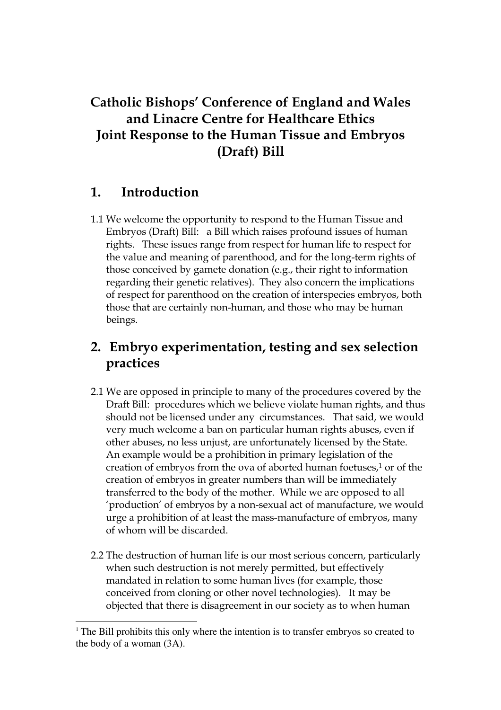# Catholic Bishops' Conference of England and Wales and Linacre Centre for Healthcare Ethics Joint Response to the Human Tissue and Embryos (Draft) Bill

### 1. Introduction

 $\overline{a}$ 

1.1 We welcome the opportunity to respond to the Human Tissue and Embryos (Draft) Bill: a Bill which raises profound issues of human rights. These issues range from respect for human life to respect for the value and meaning of parenthood, and for the long-term rights of those conceived by gamete donation (e.g., their right to information regarding their genetic relatives). They also concern the implications of respect for parenthood on the creation of interspecies embryos, both those that are certainly non-human, and those who may be human beings.

# 2. Embryo experimentation, testing and sex selection practices

- 2.1 We are opposed in principle to many of the procedures covered by the Draft Bill: procedures which we believe violate human rights, and thus should not be licensed under any circumstances. That said, we would very much welcome a ban on particular human rights abuses, even if other abuses, no less unjust, are unfortunately licensed by the State. An example would be a prohibition in primary legislation of the creation of embryos from the ova of aborted human foetuses,<sup>1</sup> or of the creation of embryos in greater numbers than will be immediately transferred to the body of the mother. While we are opposed to all 'production' of embryos by a non-sexual act of manufacture, we would urge a prohibition of at least the mass-manufacture of embryos, many of whom will be discarded.
- 2.2 The destruction of human life is our most serious concern, particularly when such destruction is not merely permitted, but effectively mandated in relation to some human lives (for example, those conceived from cloning or other novel technologies). It may be objected that there is disagreement in our society as to when human

<sup>&</sup>lt;sup>1</sup> The Bill prohibits this only where the intention is to transfer embryos so created to the body of a woman (3A).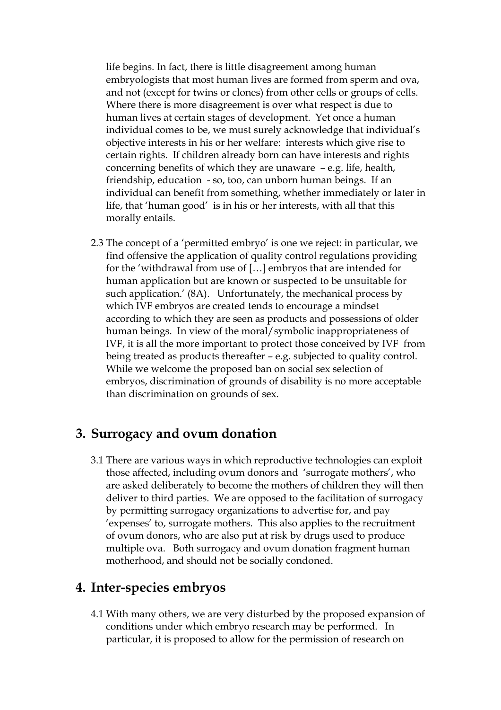life begins. In fact, there is little disagreement among human embryologists that most human lives are formed from sperm and ova, and not (except for twins or clones) from other cells or groups of cells. Where there is more disagreement is over what respect is due to human lives at certain stages of development. Yet once a human individual comes to be, we must surely acknowledge that individual's objective interests in his or her welfare: interests which give rise to certain rights. If children already born can have interests and rights concerning benefits of which they are unaware – e.g. life, health, friendship, education - so, too, can unborn human beings. If an individual can benefit from something, whether immediately or later in life, that 'human good' is in his or her interests, with all that this morally entails.

2.3 The concept of a 'permitted embryo' is one we reject: in particular, we find offensive the application of quality control regulations providing for the 'withdrawal from use of […] embryos that are intended for human application but are known or suspected to be unsuitable for such application.' (8A). Unfortunately, the mechanical process by which IVF embryos are created tends to encourage a mindset according to which they are seen as products and possessions of older human beings. In view of the moral/symbolic inappropriateness of IVF, it is all the more important to protect those conceived by IVF from being treated as products thereafter – e.g. subjected to quality control. While we welcome the proposed ban on social sex selection of embryos, discrimination of grounds of disability is no more acceptable than discrimination on grounds of sex.

#### 3. Surrogacy and ovum donation

3.1 There are various ways in which reproductive technologies can exploit those affected, including ovum donors and 'surrogate mothers', who are asked deliberately to become the mothers of children they will then deliver to third parties. We are opposed to the facilitation of surrogacy by permitting surrogacy organizations to advertise for, and pay 'expenses' to, surrogate mothers. This also applies to the recruitment of ovum donors, who are also put at risk by drugs used to produce multiple ova. Both surrogacy and ovum donation fragment human motherhood, and should not be socially condoned.

#### 4. Inter-species embryos

4.1 With many others, we are very disturbed by the proposed expansion of conditions under which embryo research may be performed. In particular, it is proposed to allow for the permission of research on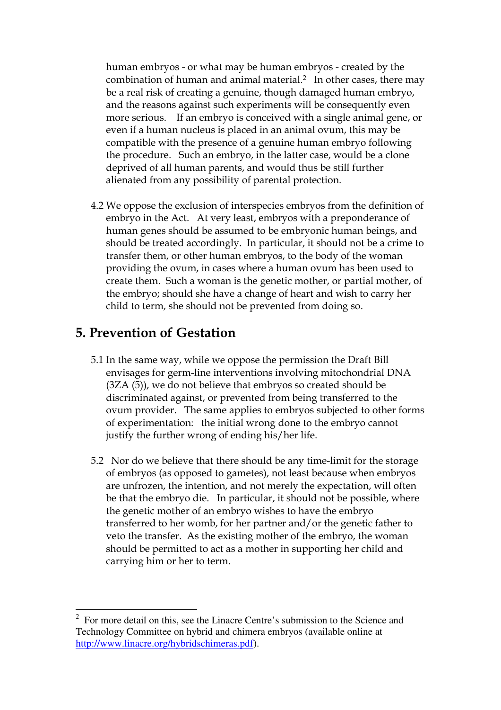human embryos - or what may be human embryos - created by the combination of human and animal material.<sup>2</sup> In other cases, there may be a real risk of creating a genuine, though damaged human embryo, and the reasons against such experiments will be consequently even more serious. If an embryo is conceived with a single animal gene, or even if a human nucleus is placed in an animal ovum, this may be compatible with the presence of a genuine human embryo following the procedure. Such an embryo, in the latter case, would be a clone deprived of all human parents, and would thus be still further alienated from any possibility of parental protection.

4.2 We oppose the exclusion of interspecies embryos from the definition of embryo in the Act. At very least, embryos with a preponderance of human genes should be assumed to be embryonic human beings, and should be treated accordingly. In particular, it should not be a crime to transfer them, or other human embryos, to the body of the woman providing the ovum, in cases where a human ovum has been used to create them. Such a woman is the genetic mother, or partial mother, of the embryo; should she have a change of heart and wish to carry her child to term, she should not be prevented from doing so.

#### 5. Prevention of Gestation

 $\overline{a}$ 

- 5.1 In the same way, while we oppose the permission the Draft Bill envisages for germ-line interventions involving mitochondrial DNA (3ZA (5)), we do not believe that embryos so created should be discriminated against, or prevented from being transferred to the ovum provider. The same applies to embryos subjected to other forms of experimentation: the initial wrong done to the embryo cannot justify the further wrong of ending his/her life.
- 5.2 Nor do we believe that there should be any time-limit for the storage of embryos (as opposed to gametes), not least because when embryos are unfrozen, the intention, and not merely the expectation, will often be that the embryo die. In particular, it should not be possible, where the genetic mother of an embryo wishes to have the embryo transferred to her womb, for her partner and/or the genetic father to veto the transfer. As the existing mother of the embryo, the woman should be permitted to act as a mother in supporting her child and carrying him or her to term.

 $2^2$  For more detail on this, see the Linacre Centre's submission to the Science and Technology Committee on hybrid and chimera embryos (available online at http://www.linacre.org/hybridschimeras.pdf).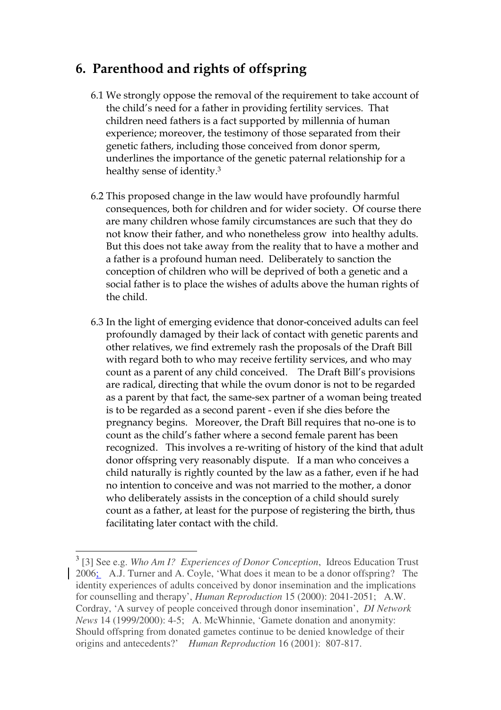# 6. Parenthood and rights of offspring

- 6.1 We strongly oppose the removal of the requirement to take account of the child's need for a father in providing fertility services. That children need fathers is a fact supported by millennia of human experience; moreover, the testimony of those separated from their genetic fathers, including those conceived from donor sperm, underlines the importance of the genetic paternal relationship for a healthy sense of identity.<sup>3</sup>
- 6.2 This proposed change in the law would have profoundly harmful consequences, both for children and for wider society. Of course there are many children whose family circumstances are such that they do not know their father, and who nonetheless grow into healthy adults. But this does not take away from the reality that to have a mother and a father is a profound human need. Deliberately to sanction the conception of children who will be deprived of both a genetic and a social father is to place the wishes of adults above the human rights of the child.
- 6.3 In the light of emerging evidence that donor-conceived adults can feel profoundly damaged by their lack of contact with genetic parents and other relatives, we find extremely rash the proposals of the Draft Bill with regard both to who may receive fertility services, and who may count as a parent of any child conceived. The Draft Bill's provisions are radical, directing that while the ovum donor is not to be regarded as a parent by that fact, the same-sex partner of a woman being treated is to be regarded as a second parent - even if she dies before the pregnancy begins. Moreover, the Draft Bill requires that no-one is to count as the child's father where a second female parent has been recognized. This involves a re-writing of history of the kind that adult donor offspring very reasonably dispute. If a man who conceives a child naturally is rightly counted by the law as a father, even if he had no intention to conceive and was not married to the mother, a donor who deliberately assists in the conception of a child should surely count as a father, at least for the purpose of registering the birth, thus facilitating later contact with the child.

 $\overline{a}$ 

<sup>3</sup> [3] See e.g. *Who Am I? Experiences of Donor Conception*, Idreos Education Trust 2006; A.J. Turner and A. Coyle, 'What does it mean to be a donor offspring? The identity experiences of adults conceived by donor insemination and the implications for counselling and therapy', *Human Reproduction* 15 (2000): 2041-2051; A.W. Cordray, 'A survey of people conceived through donor insemination', *DI Network News* 14 (1999/2000): 4-5; A. McWhinnie, 'Gamete donation and anonymity: Should offspring from donated gametes continue to be denied knowledge of their origins and antecedents?' *Human Reproduction* 16 (2001): 807-817.